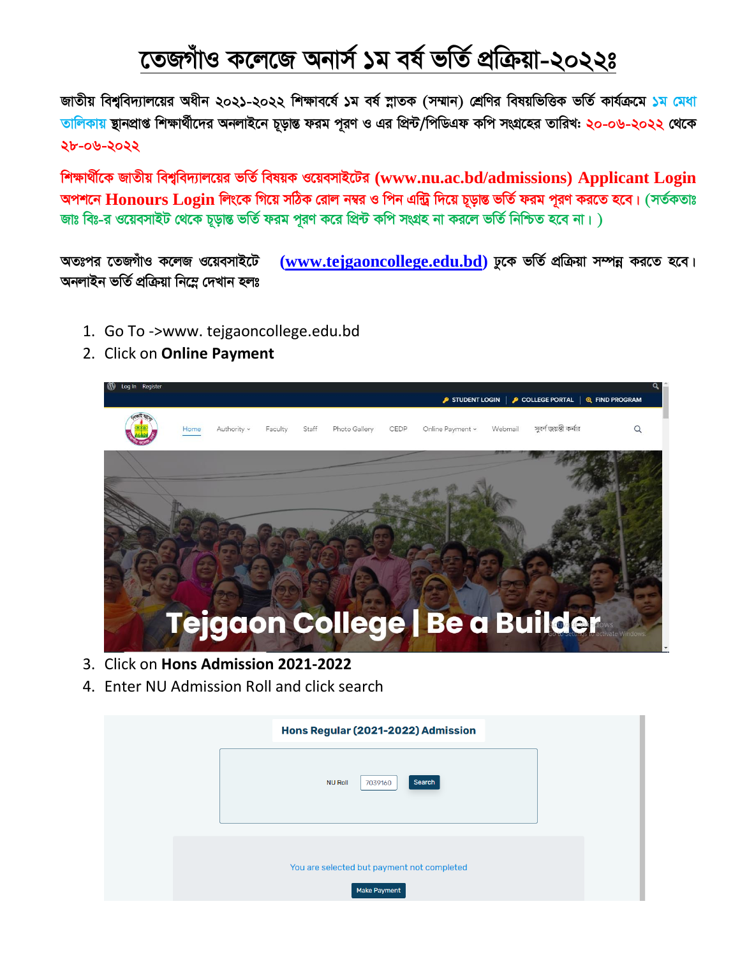## তেজগাঁও কলেজে অনার্স ১ম বর্ষ ভর্তি প্রক্রিয়া-২০২২ঃ

জাতীয় বিশ্ববিদ্যালয়ের অধীন ২০২১-২০২২ শিক্ষাবর্ষে ১ম বর্ষ স্নাতক (সম্মান) শ্রেণির বিষয়ভিত্তিক ভর্তি কার্যক্রমে ১ম মেধা তালিকায় ছানপ্রাপ্ত শিক্ষার্থীদের অনলাইনে চূড়ান্ত ফরম পুরণ ও এর প্রিন্ট/পিডিএফ কপি সংগ্রহের তারিখ: ২০-০৬-২০২২ থেকে ২৮-০৬-২০২২

শিক্ষার্থীকে জাতীয় বিশ্ববিদ্যালয়ের ভর্তি বিষয়ক ওয়েবসাইটের (www.nu.ac.bd/admissions) Applicant Login অপশনে Honours Login লিংকে গিয়ে সঠিক রোল নম্বর ও পিন এন্ট্রি দিয়ে চূড়ান্ত ভর্তি ফরম পূরণ করতে হবে। (সর্তকতাঃ জাঃ বিঃ-র ওয়েবসাইট থেকে চূড়ান্ত ভর্তি ফরম পুরণ করে প্রিন্ট কপি সংগ্রহ না করলে ভর্তি নিশ্চিত হবে না।)

(www.tejgaoncollege.edu.bd) ঢুকে ভৰ্তি প্ৰক্ৰিয়া সম্পন্ন করতে হবে। অতঃপর তেজগাঁও কলেজ ওয়েবসাইটে অনলাইন ভৰ্তি প্ৰক্ৰিয়া নিম্নে দেখান হলঃ

- 1. Go To ->www. tejgaoncollege.edu.bd
- 2. Click on Online Payment



- 3. Click on Hons Admission 2021-2022
- 4. Enter NU Admission Roll and click search

| Hons Regular (2021-2022) Admission                                |  |
|-------------------------------------------------------------------|--|
| Search<br><b>NU Roll</b><br>7039160                               |  |
| You are selected but payment not completed<br><b>Make Payment</b> |  |